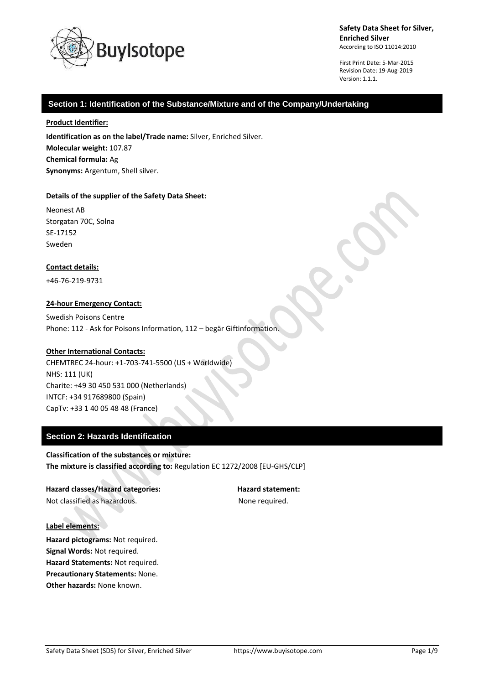

First Print Date: 5-Mar-2015 Revision Date: 19-Aug-2019 Version: 1.1.1.

# **Section 1: Identification of the Substance/Mixture and of the Company/Undertaking**

### **Product Identifier:**

**Identification as on the label/Trade name:** Silver, Enriched Silver. **Molecular weight:** 107.87 **Chemical formula:** Ag **Synonyms:** Argentum, Shell silver.

### **Details of the supplier of the Safety Data Sheet:**

Neonest AB Storgatan 70C, Solna SE-17152 Sweden

# **Contact details:**

+46-76-219-9731

# **24-hour Emergency Contact:**

Swedish Poisons Centre Phone: 112 - Ask for Poisons Information, 112 – begär Giftinformation.

# **Other International Contacts:**

CHEMTREC 24-hour: +1-703-741-5500 (US + Worldwide) NHS: 111 (UK) Charite: +49 30 450 531 000 (Netherlands) INTCF: +34 917689800 (Spain) CapTv: +33 1 40 05 48 48 (France)

# **Section 2: Hazards Identification**

**Classification of the substances or mixture: The mixture is classified according to:** Regulation EC 1272/2008 [EU-GHS/CLP]

**Hazard classes/Hazard categories: Hazard statement:** Not classified as hazardous. The state of the None required.

#### **Label elements:**

**Hazard pictograms:** Not required. **Signal Words:** Not required. **Hazard Statements:** Not required. **Precautionary Statements:** None. **Other hazards:** None known.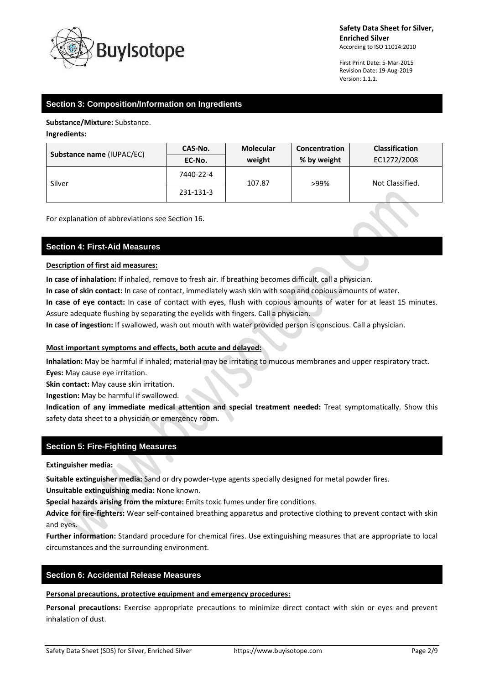

First Print Date: 5-Mar-2015 Revision Date: 19-Aug-2019 Version: 1.1.1.

# **Section 3: Composition/Information on Ingredients**

**Substance/Mixture:** Substance.

**Ingredients:**

| Substance name (IUPAC/EC) | CAS-No.   | <b>Molecular</b> | Concentration | <b>Classification</b> |
|---------------------------|-----------|------------------|---------------|-----------------------|
|                           | EC-No.    | weight           | % by weight   | EC1272/2008           |
| Silver                    | 7440-22-4 | 107.87           | >99%          | Not Classified.       |
|                           | 231-131-3 |                  |               |                       |

For explanation of abbreviations see Section 16.

# **Section 4: First-Aid Measures**

# **Description of first aid measures:**

**In case of inhalation:** If inhaled, remove to fresh air. If breathing becomes difficult, call a physician.

**In case of skin contact:** In case of contact, immediately wash skin with soap and copious amounts of water.

**In case of eye contact:** In case of contact with eyes, flush with copious amounts of water for at least 15 minutes. Assure adequate flushing by separating the eyelids with fingers. Call a physician.

**In case of ingestion:** If swallowed, wash out mouth with water provided person is conscious. Call a physician.

# **Most important symptoms and effects, both acute and delayed:**

**Inhalation:** May be harmful if inhaled; material may be irritating to mucous membranes and upper respiratory tract. **Eyes:** May cause eye irritation.

**Skin contact:** May cause skin irritation.

**Ingestion:** May be harmful if swallowed.

**Indication of any immediate medical attention and special treatment needed:** Treat symptomatically. Show this safety data sheet to a physician or emergency room.

# **Section 5: Fire-Fighting Measures**

**Extinguisher media:**

**Suitable extinguisher media:** Sand or dry powder-type agents specially designed for metal powder fires.

**Unsuitable extinguishing media:** None known.

**Special hazards arising from the mixture:** Emits toxic fumes under fire conditions.

**Advice for fire-fighters:** Wear self-contained breathing apparatus and protective clothing to prevent contact with skin and eyes.

**Further information:** Standard procedure for chemical fires. Use extinguishing measures that are appropriate to local circumstances and the surrounding environment.

# **Section 6: Accidental Release Measures**

**Personal precautions, protective equipment and emergency procedures:**

**Personal precautions:** Exercise appropriate precautions to minimize direct contact with skin or eyes and prevent inhalation of dust.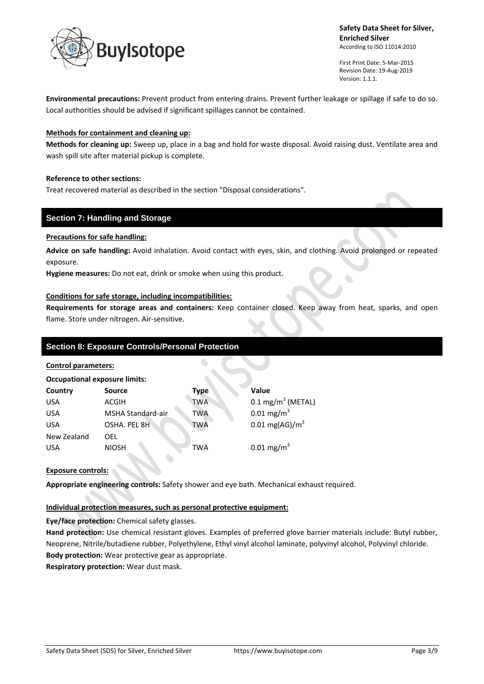

First Print Date: 5-Mar-2015 Revision Date: 19-Aug-2019 Version: 1.1.1.

 $\bullet$ 

**Environmental precautions:** Prevent product from entering drains. Prevent further leakage or spillage if safe to do so. Local authorities should be advised if significant spillages cannot be contained.

# **Methods for containment and cleaning up:**

**Methods for cleaning up:** Sweep up, place in a bag and hold for waste disposal. Avoid raising dust. Ventilate area and wash spill site after material pickup is complete.

# **Reference to other sections:**

Treat recovered material as described in the section "Disposal considerations".

# **Section 7: Handling and Storage**

# **Precautions for safe handling:**

**Advice on safe handling:** Avoid inhalation. Avoid contact with eyes, skin, and clothing. Avoid prolonged or repeated exposure.

**Hygiene measures:** Do not eat, drink or smoke when using this product.

# **Conditions for safe storage, including incompatibilities:**

**Requirements for storage areas and containers:** Keep container closed. Keep away from heat, sparks, and open flame. Store under nitrogen. Air-sensitive.

# **Section 8: Exposure Controls/Personal Protection**

# **Control parameters:**

| <b>Occupational exposure limits:</b> |                   |            |                              |  |  |  |
|--------------------------------------|-------------------|------------|------------------------------|--|--|--|
| Country                              | <b>Source</b>     | Type       | Value                        |  |  |  |
| <b>USA</b>                           | ACGIH             | <b>TWA</b> | $0.1 \text{ mg/m}^3$ (METAL) |  |  |  |
| <b>USA</b>                           | MSHA Standard-air | <b>TWA</b> | $0.01 \,\mathrm{mg/m}^3$     |  |  |  |
| <b>USA</b>                           | OSHA. PEL 8H      | <b>TWA</b> | $0.01 \text{ mg}(AG)/m^3$    |  |  |  |
| New Zealand                          | OEL               |            |                              |  |  |  |
| <b>USA</b>                           | <b>NIOSH</b>      | <b>TWA</b> | $0.01 \,\mathrm{mg/m}^3$     |  |  |  |

# **Exposure controls:**

**Appropriate engineering controls:** Safety shower and eye bath. Mechanical exhaust required.

# **Individual protection measures, such as personal protective equipment:**

**Eye/face protection:** Chemical safety glasses.

**Hand protection:** Use chemical resistant gloves. Examples of preferred glove barrier materials include: Butyl rubber, Neoprene, Nitrile/butadiene rubber, Polyethylene, Ethyl vinyl alcohol laminate, polyvinyl alcohol, Polyvinyl chloride. **Body protection:** Wear protective gear as appropriate.

**Respiratory protection:** Wear dust mask.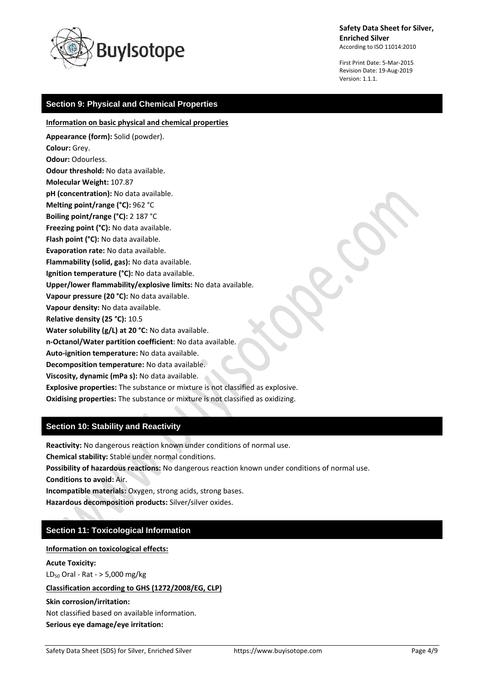

First Print Date: 5-Mar-2015 Revision Date: 19-Aug-2019 Version: 1.1.1.

# **Section 9: Physical and Chemical Properties**

**Information on basic physical and chemical properties**

**Appearance (form):** Solid (powder). **Colour:** Grey. **Odour:** Odourless. **Odour threshold:** No data available. **Molecular Weight:** 107.87 **pH (concentration):** No data available. **Melting point/range (°C):** 962 °C **Boiling point/range (°C):** 2 187 °C **Freezing point (°C):** No data available. **Flash point (°C):** No data available. **Evaporation rate:** No data available. **Flammability (solid, gas):** No data available. **Ignition temperature (°C):** No data available. **Upper/lower flammability/explosive limits:** No data available. **Vapour pressure (20 °C):** No data available. **Vapour density:** No data available. **Relative density (25 °C):** 10.5 **Water solubility (g/L) at 20 °C:** No data available. **n-Octanol/Water partition coefficient**: No data available. **Auto-ignition temperature:** No data available. **Decomposition temperature:** No data available. **Viscosity, dynamic (mPa s):** No data available. **Explosive properties:** The substance or mixture is not classified as explosive.

**Oxidising properties:** The substance or mixture is not classified as oxidizing.

# **Section 10: Stability and Reactivity**

**Reactivity:** No dangerous reaction known under conditions of normal use.

**Chemical stability:** Stable under normal conditions.

**Possibility of hazardous reactions:** No dangerous reaction known under conditions of normal use.

**Conditions to avoid:** Air.

**Incompatible materials:** Oxygen, strong acids, strong bases.

**Hazardous decomposition products:** Silver/silver oxides.

# **Section 11: Toxicological Information**

**Information on toxicological effects:**

**Acute Toxicity:** 

 $LD_{50}$  Oral - Rat - > 5,000 mg/kg

# **Classification according to GHS (1272/2008/EG, CLP)**

**Skin corrosion/irritation:**

Not classified based on available information.

**Serious eye damage/eye irritation:**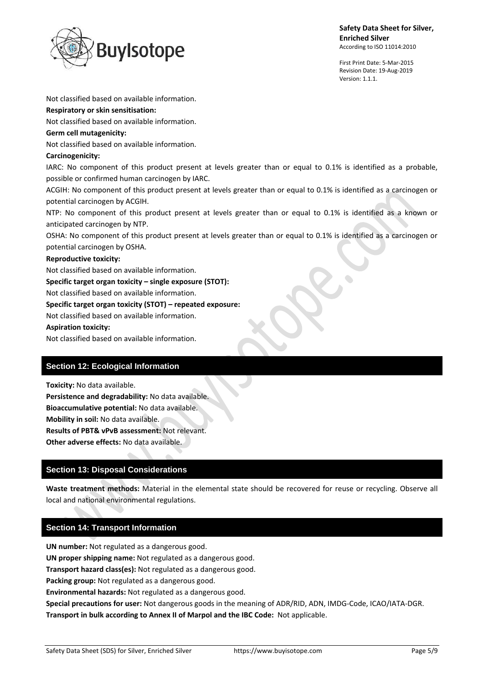

First Print Date: 5-Mar-2015 Revision Date: 19-Aug-2019 Version: 1.1.1.

Not classified based on available information.

### **Respiratory or skin sensitisation:**

Not classified based on available information.

### **Germ cell mutagenicity:**

Not classified based on available information.

### **Carcinogenicity:**

IARC: No component of this product present at levels greater than or equal to 0.1% is identified as a probable, possible or confirmed human carcinogen by IARC.

ACGIH: No component of this product present at levels greater than or equal to 0.1% is identified as a carcinogen or potential carcinogen by ACGIH.

NTP: No component of this product present at levels greater than or equal to 0.1% is identified as a known or anticipated carcinogen by NTP.

OSHA: No component of this product present at levels greater than or equal to 0.1% is identified as a carcinogen or potential carcinogen by OSHA.

#### **Reproductive toxicity:**

Not classified based on available information.

**Specific target organ toxicity – single exposure (STOT):**

Not classified based on available information.

### **Specific target organ toxicity (STOT) – repeated exposure:**

Not classified based on available information.

### **Aspiration toxicity:**

Not classified based on available information.

# **Section 12: Ecological Information**

**Toxicity:** No data available.

**Persistence and degradability:** No data available. **Bioaccumulative potential:** No data available.

**Mobility in soil:** No data available.

**Results of PBT& vPvB assessment:** Not relevant.

**Other adverse effects:** No data available.

# **Section 13: Disposal Considerations**

**Waste treatment methods:** Material in the elemental state should be recovered for reuse or recycling. Observe all local and national environmental regulations.

# **Section 14: Transport Information**

**UN number:** Not regulated as a dangerous good. **UN proper shipping name:** Not regulated as a dangerous good. **Transport hazard class(es):** Not regulated as a dangerous good. **Packing group:** Not regulated as a dangerous good. **Environmental hazards:** Not regulated as a dangerous good. **Special precautions for user:** Not dangerous goods in the meaning of ADR/RID, ADN, IMDG-Code, ICAO/IATA-DGR. **Transport in bulk according to Annex II of Marpol and the IBC Code:** Not applicable.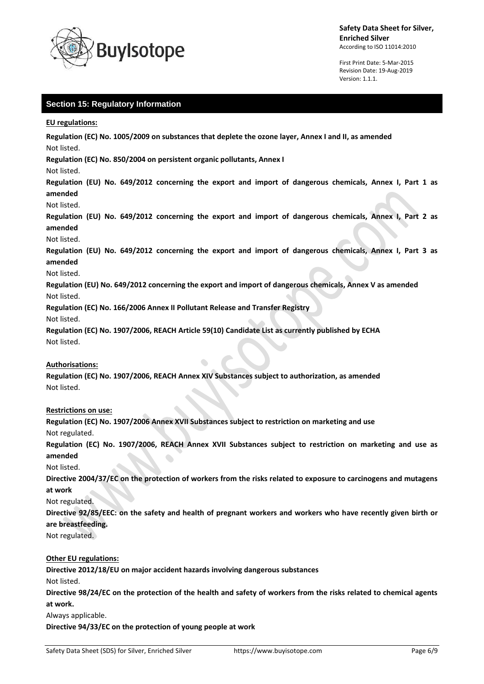

First Print Date: 5-Mar-2015 Revision Date: 19-Aug-2019 Version: 1.1.1.

# **Section 15: Regulatory Information**

**EU regulations:**

**Regulation (EC) No. 1005/2009 on substances that deplete the ozone layer, Annex I and II, as amended** Not listed.

**Regulation (EC) No. 850/2004 on persistent organic pollutants, Annex I**

Not listed.

**Regulation (EU) No. 649/2012 concerning the export and import of dangerous chemicals, Annex I, Part 1 as amended**

Not listed.

**Regulation (EU) No. 649/2012 concerning the export and import of dangerous chemicals, Annex I, Part 2 as amended**

Not listed.

**Regulation (EU) No. 649/2012 concerning the export and import of dangerous chemicals, Annex I, Part 3 as amended**

#### Not listed.

**Regulation (EU) No. 649/2012 concerning the export and import of dangerous chemicals, Annex V as amended** Not listed.

**Regulation (EC) No. 166/2006 Annex II Pollutant Release and Transfer Registry**

Not listed.

**Regulation (EC) No. 1907/2006, REACH Article 59(10) Candidate List as currently published by ECHA** Not listed.

# **Authorisations:**

**Regulation (EC) No. 1907/2006, REACH Annex XIV Substances subject to authorization, as amended** Not listed.

# **Restrictions on use:**

**Regulation (EC) No. 1907/2006 Annex XVII Substances subject to restriction on marketing and use** Not regulated.

**Regulation (EC) No. 1907/2006, REACH Annex XVII Substances subject to restriction on marketing and use as amended**

Not listed.

**Directive 2004/37/EC on the protection of workers from the risks related to exposure to carcinogens and mutagens at work**

Not regulated.

**Directive 92/85/EEC: on the safety and health of pregnant workers and workers who have recently given birth or are breastfeeding.**

Not regulated.

# **Other EU regulations:**

**Directive 2012/18/EU on major accident hazards involving dangerous substances**

Not listed.

**Directive 98/24/EC on the protection of the health and safety of workers from the risks related to chemical agents at work.**

Always applicable.

**Directive 94/33/EC on the protection of young people at work**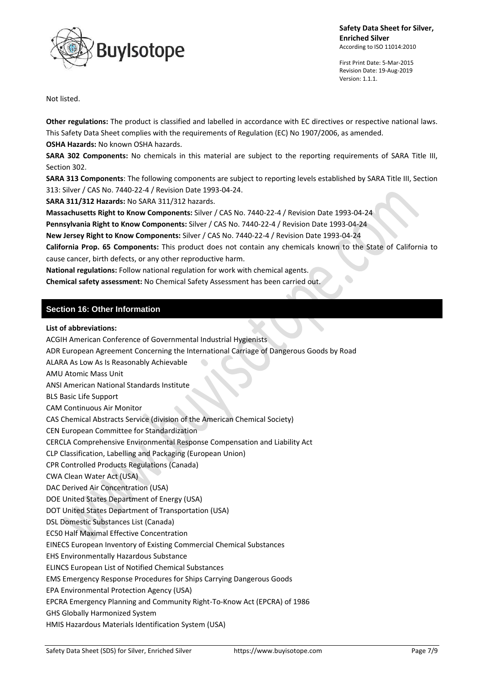

First Print Date: 5-Mar-2015 Revision Date: 19-Aug-2019 Version: 1.1.1.

 $\bullet$ 

Not listed.

**Other regulations:** The product is classified and labelled in accordance with EC directives or respective national laws. This Safety Data Sheet complies with the requirements of Regulation (EC) No 1907/2006, as amended. **OSHA Hazards:** No known OSHA hazards.

**SARA 302 Components:** No chemicals in this material are subject to the reporting requirements of SARA Title III, Section 302.

**SARA 313 Components**: The following components are subject to reporting levels established by SARA Title III, Section 313: Silver / CAS No. 7440-22-4 / Revision Date 1993-04-24.

**SARA 311/312 Hazards:** No SARA 311/312 hazards.

**Massachusetts Right to Know Components:** Silver / CAS No. 7440-22-4 / Revision Date 1993-04-24

**Pennsylvania Right to Know Components:** Silver / CAS No. 7440-22-4 / Revision Date 1993-04-24

**New Jersey Right to Know Components:** Silver / CAS No. 7440-22-4 / Revision Date 1993-04-24

**California Prop. 65 Components:** This product does not contain any chemicals known to the State of California to cause cancer, birth defects, or any other reproductive harm.

**National regulations:** Follow national regulation for work with chemical agents.

**Chemical safety assessment:** No Chemical Safety Assessment has been carried out.

# **Section 16: Other Information**

# **List of abbreviations:**

ACGIH American Conference of Governmental Industrial Hygienists

- ADR European Agreement Concerning the International Carriage of Dangerous Goods by Road
- ALARA As Low As Is Reasonably Achievable
- AMU Atomic Mass Unit
- ANSI American National Standards Institute
- BLS Basic Life Support
- CAM Continuous Air Monitor

CAS Chemical Abstracts Service (division of the American Chemical Society)

CEN European Committee for Standardization

CERCLA Comprehensive Environmental Response Compensation and Liability Act

CLP Classification, Labelling and Packaging (European Union)

CPR Controlled Products Regulations (Canada)

CWA Clean Water Act (USA)

DAC Derived Air Concentration (USA)

DOE United States Department of Energy (USA)

DOT United States Department of Transportation (USA)

- DSL Domestic Substances List (Canada)
- EC50 Half Maximal Effective Concentration

EINECS European Inventory of Existing Commercial Chemical Substances

EHS Environmentally Hazardous Substance

ELINCS European List of Notified Chemical Substances

EMS Emergency Response Procedures for Ships Carrying Dangerous Goods

EPA Environmental Protection Agency (USA)

EPCRA Emergency Planning and Community Right-To-Know Act (EPCRA) of 1986

GHS Globally Harmonized System

HMIS Hazardous Materials Identification System (USA)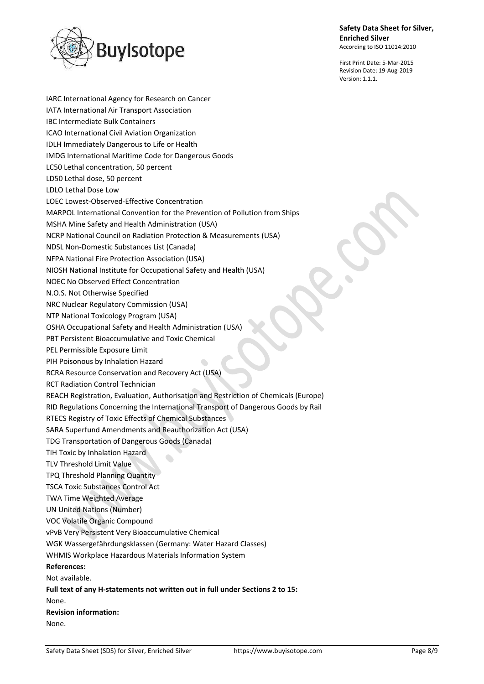

First Print Date: 5-Mar-2015 Revision Date: 19-Aug-2019 Version: 1.1.1.

IARC International Agency for Research on Cancer IATA International Air Transport Association IBC Intermediate Bulk Containers ICAO International Civil Aviation Organization IDLH Immediately Dangerous to Life or Health IMDG International Maritime Code for Dangerous Goods LC50 Lethal concentration, 50 percent LD50 Lethal dose, 50 percent LDLO Lethal Dose Low LOEC Lowest-Observed-Effective Concentration MARPOL International Convention for the Prevention of Pollution from Ships MSHA Mine Safety and Health Administration (USA) NCRP National Council on Radiation Protection & Measurements (USA) NDSL Non-Domestic Substances List (Canada) NFPA National Fire Protection Association (USA) NIOSH National Institute for Occupational Safety and Health (USA) NOEC No Observed Effect Concentration N.O.S. Not Otherwise Specified NRC Nuclear Regulatory Commission (USA) NTP National Toxicology Program (USA) OSHA Occupational Safety and Health Administration (USA) PBT Persistent Bioaccumulative and Toxic Chemical PEL Permissible Exposure Limit PIH Poisonous by Inhalation Hazard RCRA Resource Conservation and Recovery Act (USA) RCT Radiation Control Technician REACH Registration, Evaluation, Authorisation and Restriction of Chemicals (Europe) RID Regulations Concerning the International Transport of Dangerous Goods by Rail RTECS Registry of Toxic Effects of Chemical Substances SARA Superfund Amendments and Reauthorization Act (USA) TDG Transportation of Dangerous Goods (Canada) TIH Toxic by Inhalation Hazard  $\hat{\phantom{a}}$ TLV Threshold Limit Value TPQ Threshold Planning Quantity TSCA Toxic Substances Control Act TWA Time Weighted Average UN United Nations (Number) VOC Volatile Organic Compound vPvB Very Persistent Very Bioaccumulative Chemical WGK Wassergefährdungsklassen (Germany: Water Hazard Classes) WHMIS Workplace Hazardous Materials Information System **References:** Not available. **Full text of any H-statements not written out in full under Sections 2 to 15:** None. **Revision information:** None.